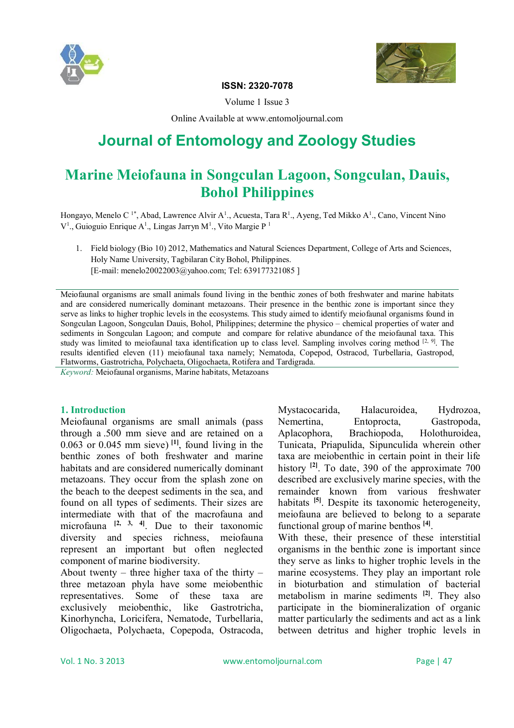



## **ISSN: 2320-7078**

Volume 1 Issue 3

Online Available at www.entomoljournal.com

# **Journal of Entomology and Zoology Studies**

## **Marine Meiofauna in Songculan Lagoon, Songculan, Dauis, Bohol Philippines**

Hongayo, Menelo C<sup>1\*</sup>, Abad, Lawrence Alvir A<sup>1</sup>., Acuesta, Tara R<sup>1</sup>., Ayeng, Ted Mikko A<sup>1</sup>., Cano, Vincent Nino  $V<sup>1</sup>$ ., Guioguio Enrique A<sup>1</sup>., Lingas Jarryn M<sup>1</sup>., Vito Margie P<sup>1</sup>

1. Field biology (Bio 10) 2012, Mathematics and Natural Sciences Department, College of Arts and Sciences, Holy Name University, Tagbilaran City Bohol, Philippines. [E-mail: menelo20022003@yahoo.com; Tel: 639177321085 ]

Meiofaunal organisms are small animals found living in the benthic zones of both freshwater and marine habitats and are considered numerically dominant metazoans. Their presence in the benthic zone is important since they serve as links to higher trophic levels in the ecosystems. This study aimed to identify meiofaunal organisms found in Songculan Lagoon, Songculan Dauis, Bohol, Philippines; determine the physico – chemical properties of water and sediments in Songculan Lagoon; and compute and compare for relative abundance of the meiofaunal taxa. This study was limited to meiofaunal taxa identification up to class level. Sampling involves coring method  $[2, 9]$ . The results identified eleven (11) meiofaunal taxa namely; Nematoda, Copepod, Ostracod, Turbellaria, Gastropod, Flatworms, Gastrotricha, Polychaeta, Oligochaeta, Rotifera and Tardigrada.

*Keyword:* Meiofaunal organisms, Marine habitats, Metazoans

#### **1. Introduction**

Meiofaunal organisms are small animals (pass through a .500 mm sieve and are retained on a  $0.063$  or  $0.045$  mm sieve)  $\begin{bmatrix} 11 \end{bmatrix}$ , found living in the benthic zones of both freshwater and marine habitats and are considered numerically dominant metazoans. They occur from the splash zone on the beach to the deepest sediments in the sea, and found on all types of sediments. Their sizes are intermediate with that of the macrofauna and microfauna **[2, 3, 4]**. Due to their taxonomic diversity and species richness, meiofauna represent an important but often neglected component of marine biodiversity.

About twenty – three higher taxa of the thirty – three metazoan phyla have some meiobenthic representatives. Some of these taxa are exclusively meiobenthic, like Gastrotricha, Kinorhyncha, Loricifera, Nematode, Turbellaria, Oligochaeta, Polychaeta, Copepoda, Ostracoda, Mystacocarida, Halacuroidea, Hydrozoa, Nemertina, Entoprocta, Gastropoda, Aplacophora, Brachiopoda, Holothuroidea, Tunicata, Priapulida, Sipunculida wherein other taxa are meiobenthic in certain point in their life history **[2]**. To date, 390 of the approximate 700 described are exclusively marine species, with the remainder known from various freshwater habitats <sup>[5]</sup>. Despite its taxonomic heterogeneity, meiofauna are believed to belong to a separate functional group of marine benthos **[4]** .

With these, their presence of these interstitial organisms in the benthic zone is important since they serve as links to higher trophic levels in the marine ecosystems. They play an important role in bioturbation and stimulation of bacterial metabolism in marine sediments **[2]**. They also participate in the biomineralization of organic matter particularly the sediments and act as a link between detritus and higher trophic levels in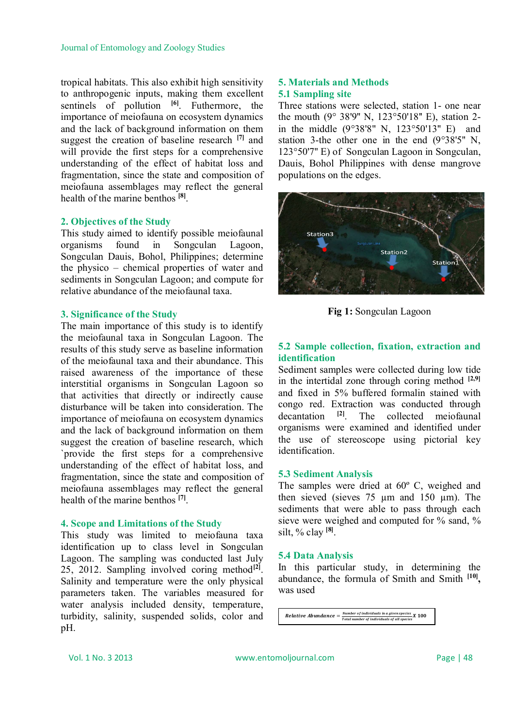tropical habitats. This also exhibit high sensitivity to anthropogenic inputs, making them excellent sentinels of pollution **[6]**. Futhermore, the importance of meiofauna on ecosystem dynamics and the lack of background information on them suggest the creation of baseline research **[7]** and will provide the first steps for a comprehensive understanding of the effect of habitat loss and fragmentation, since the state and composition of meiofauna assemblages may reflect the general health of the marine benthos **[8]** .

#### **2. Objectives of the Study**

This study aimed to identify possible meiofaunal organisms found in Songculan Lagoon, Songculan Dauis, Bohol, Philippines; determine the physico – chemical properties of water and sediments in Songculan Lagoon; and compute for relative abundance of the meiofaunal taxa.

#### **3. Significance of the Study**

The main importance of this study is to identify the meiofaunal taxa in Songculan Lagoon. The results of this study serve as baseline information of the meiofaunal taxa and their abundance. This raised awareness of the importance of these interstitial organisms in Songculan Lagoon so that activities that directly or indirectly cause disturbance will be taken into consideration. The importance of meiofauna on ecosystem dynamics and the lack of background information on them suggest the creation of baseline research, which `provide the first steps for a comprehensive understanding of the effect of habitat loss, and fragmentation, since the state and composition of meiofauna assemblages may reflect the general health of the marine benthos **[7]** .

#### **4. Scope and Limitations of the Study**

This study was limited to meiofauna taxa identification up to class level in Songculan Lagoon. The sampling was conducted last July 25, 2012. Sampling involved coring method<sup>[2]</sup>. Salinity and temperature were the only physical parameters taken. The variables measured for water analysis included density, temperature, turbidity, salinity, suspended solids, color and pH.

#### **5. Materials and Methods 5.1 Sampling site**

Three stations were selected, station 1- one near the mouth (9° 38'9'' N, 123°50'18'' E), station 2 in the middle (9°38'8" N, 123°50'13'' E) and station 3-the other one in the end (9°38'5'' N, 123°50'7'' E) of Songculan Lagoon in Songculan, Dauis, Bohol Philippines with dense mangrove populations on the edges.



**Fig 1:** Songculan Lagoon

## **5.2 Sample collection, fixation, extraction and identification**

Sediment samples were collected during low tide in the intertidal zone through coring method  $[2,9]$ and fixed in 5% buffered formalin stained with congo red. Extraction was conducted through decantation **[2]**. The collected meiofaunal organisms were examined and identified under the use of stereoscope using pictorial key identification.

#### **5.3 Sediment Analysis**

The samples were dried at 60º C, weighed and then sieved (sieves 75 µm and 150 µm). The sediments that were able to pass through each sieve were weighed and computed for % sand, % silt, % clay **[8]** .

#### **5.4 Data Analysis**

In this particular study, in determining the abundance, the formula of Smith and Smith **[10] ,**  was used

**Relative Abundance**  $=\frac{Number\ of\ individual\ s\ in\ a\ given\ species}{Total\ number\ of\ individuals\ of\ all\ species}X$  100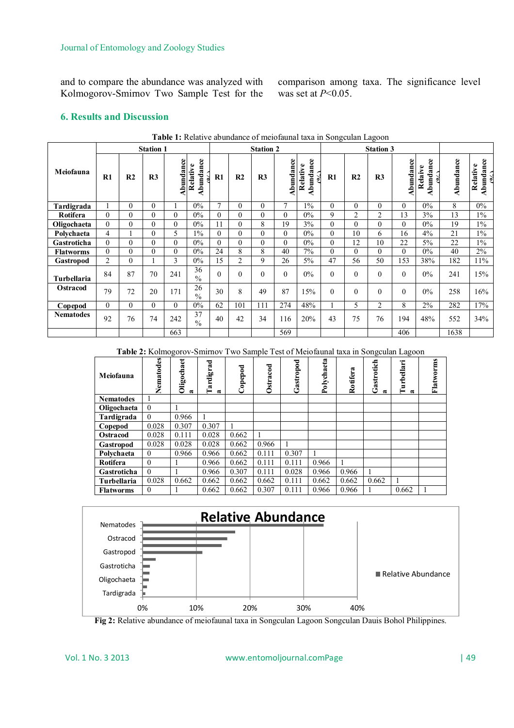and to compare the abundance was analyzed with Kolmogorov-Smirnov Two Sample Test for the comparison among taxa. The significance level was set at *P*<0.05.

#### **6. Results and Discussion**

| <b>rapic 1.</b> Kelah ve abundance of melolating taxa in bongcalan Lagoon |                |                  |                |           |                       |              |                |                  |               |                             |                  |                |                |           |                         |           |                       |
|---------------------------------------------------------------------------|----------------|------------------|----------------|-----------|-----------------------|--------------|----------------|------------------|---------------|-----------------------------|------------------|----------------|----------------|-----------|-------------------------|-----------|-----------------------|
|                                                                           |                | <b>Station 1</b> |                |           |                       |              |                | <b>Station 2</b> |               |                             | <b>Station 3</b> |                |                |           |                         |           |                       |
| Meiofauna                                                                 | $\mathbf{R}1$  | R <sub>2</sub>   | R <sub>3</sub> | Abundance | Abundance<br>Relative | R1           | R <sub>2</sub> | R <sub>3</sub>   | Abundance     | Abundance<br>Relative<br>ò, | $\bf R1$         | R2             | R <sub>3</sub> | Abundance | ဗ<br>Relaive<br>Abundan | Abundance | Abundance<br>Relative |
| Tardigrada                                                                |                | $\Omega$         | $\theta$       |           | $0\%$                 | 7            | 0              | $\Omega$         | $\mathcal{I}$ | $1\%$                       | $\Omega$         | $\Omega$       | $\theta$       | $\Omega$  | $0\%$                   | 8         | $0\%$                 |
| <b>Rotifera</b>                                                           | 0              | $\Omega$         | $\Omega$       | $\theta$  | $0\%$                 | $\theta$     | 0              | $\theta$         | $\Omega$      | $0\%$                       | 9                | $\overline{2}$ | $\overline{2}$ | 13        | 3%                      | 13        | $1\%$                 |
| Oligochaeta                                                               | $\Omega$       | $\theta$         | $\Omega$       | $\theta$  | $0\%$                 | 11           | $\overline{0}$ | 8                | 19            | 3%                          | $\theta$         | $\Omega$       | $\Omega$       | $\Omega$  | $0\%$                   | 19        | $1\%$                 |
| Polychaeta                                                                | 4              |                  | $\Omega$       | 5         | $1\%$                 | $\Omega$     | 0              | $\Omega$         | $\Omega$      | $0\%$                       | $\Omega$         | 10             | 6              | 16        | 4%                      | 21        | $1\%$                 |
| Gastroticha                                                               | 0              | $\theta$         | $\Omega$       | $\theta$  | $0\%$                 | $\mathbf{0}$ | 0              | 0                | $\Omega$      | $0\%$                       | $\theta$         | 12             | 10             | 22        | $5\%$                   | 22        | $1\%$                 |
| <b>Flatworms</b>                                                          | $\overline{0}$ | $\theta$         | $\Omega$       | $\theta$  | $0\%$                 | 24           | 8              | 8                | 40            | $7\%$                       | $\theta$         | $\Omega$       | $\Omega$       | $\Omega$  | $0\%$                   | 40        | 2%                    |
| Gastropod                                                                 | $\overline{2}$ | $\theta$         |                | 3         | $0\%$                 | 15           | $\overline{2}$ | 9                | 26            | $5\%$                       | 47               | 56             | 50             | 153       | 38%                     | 182       | $11\%$                |
| Turbellaria                                                               | 84             | 87               | 70             | 241       | 36<br>$\frac{0}{0}$   | $\theta$     | $\overline{0}$ | $\Omega$         | $\Omega$      | $0\%$                       | $\Omega$         | $\Omega$       | $\Omega$       | $\Omega$  | $0\%$                   | 241       | 15%                   |
| <b>Ostracod</b>                                                           | 79             | 72               | 20             | 171       | 26<br>$\frac{0}{0}$   | 30           | 8              | 49               | 87            | 15%                         | $\Omega$         | $\Omega$       | $\theta$       | $\Omega$  | $0\%$                   | 258       | 16%                   |
| Copepod                                                                   | 0              | $\Omega$         | $\Omega$       | $\Omega$  | $0\%$                 | 62           | 101            | 111              | 274           | 48%                         |                  | 5.             | 2              | 8         | $2\%$                   | 282       | 17%                   |
| <b>Nematodes</b>                                                          | 92             | 76               | 74             | 242       | 37<br>$\frac{0}{0}$   | 40           | 42             | 34               | 116           | 20%                         | 43               | 75             | 76             | 194       | 48%                     | 552       | 34%                   |
|                                                                           |                |                  |                | 663       |                       |              |                |                  | 569           |                             |                  |                |                | 406       |                         | 1638      |                       |

**Table 1:** Relative abundance of meiofaunal taxa in Songculan Lagoon

**Table 2:** Kolmogorov-Smirnov Two Sample Test of Meiofaunal taxa in Songculan Lagoon

| Meiofauna        | Nematodes | Oligochaet<br>$\approx$ | <b>Tardigrad</b><br>$\approx$ | ರ<br>Copepo | Ostracod | Gastropod | Polychaeta | Rotifera | Gastrotich<br>$\approx$ | <b>Turbellari</b><br>ಷ | Flatworms |
|------------------|-----------|-------------------------|-------------------------------|-------------|----------|-----------|------------|----------|-------------------------|------------------------|-----------|
| <b>Nematodes</b> |           |                         |                               |             |          |           |            |          |                         |                        |           |
| Oligochaeta      | $\theta$  |                         |                               |             |          |           |            |          |                         |                        |           |
| Tardigrada       | $\Omega$  | 0.966                   | 1                             |             |          |           |            |          |                         |                        |           |
| Copepod          | 0.028     | 0.307                   | 0.307                         |             |          |           |            |          |                         |                        |           |
| Ostracod         | 0.028     | 0.111                   | 0.028                         | 0.662       |          |           |            |          |                         |                        |           |
| Gastropod        | 0.028     | 0.028                   | 0.028                         | 0.662       | 0.966    |           |            |          |                         |                        |           |
| Polychaeta       | $\theta$  | 0.966                   | 0.966                         | 0.662       | 0.111    | 0.307     |            |          |                         |                        |           |
| Rotifera         | $\theta$  |                         | 0.966                         | 0.662       | 0.111    | 0.111     | 0.966      |          |                         |                        |           |
| Gastroticha      | $\theta$  |                         | 0.966                         | 0.307       | 0.111    | 0.028     | 0.966      | 0.966    |                         |                        |           |
| Turbellaria      | 0.028     | 0.662                   | 0.662                         | 0.662       | 0.662    | 0.111     | 0.662      | 0.662    | 0.662                   |                        |           |
| <b>Flatworms</b> | $\theta$  |                         | 0.662                         | 0.662       | 0.307    | 0.111     | 0.966      | 0.966    |                         | 0.662                  |           |



**Fig 2:** Relative abundance of meiofaunal taxa in Songculan Lagoon Songculan Dauis Bohol Philippines.

#### Vol. 1 No. 3 2013 www.entomoljournal.comPage | 49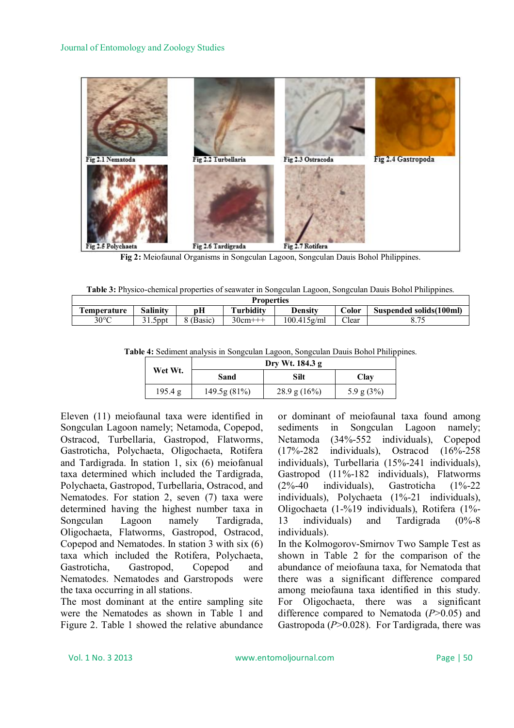

**Fig 2:** Meiofaunal Organisms in Songculan Lagoon, Songculan Dauis Bohol Philippines.

|  |  |  |  |  | Table 3: Physico-chemical properties of seawater in Songculan Lagoon, Songculan Dauis Bohol Philippines. |  |  |
|--|--|--|--|--|----------------------------------------------------------------------------------------------------------|--|--|
|  |  |  |  |  |                                                                                                          |  |  |
|  |  |  |  |  |                                                                                                          |  |  |

| <b>Properties</b>   |                 |         |              |                |       |                          |  |  |
|---------------------|-----------------|---------|--------------|----------------|-------|--------------------------|--|--|
| <b>l'emperature</b> | <b>Salinity</b> | pН      | Turbidity    | Densitv        | Color | Suspended solids (100ml) |  |  |
| $30^{\circ}$ C      | $1.5$ ppt       | (Basic) | $30cm^{+++}$ | $100.415$ g/ml | Clear |                          |  |  |

**Table 4:** Sediment analysis in Songculan Lagoon, Songculan Dauis Bohol Philippines.

|         | Dry Wt. 184.3 g |                 |              |  |  |  |  |  |  |
|---------|-----------------|-----------------|--------------|--|--|--|--|--|--|
| Wet Wt. | Sand            | Silt            | Clay         |  |  |  |  |  |  |
| 195.4 g | 149.5g (81%)    | 28.9 g $(16\%)$ | 5.9 g $(3%)$ |  |  |  |  |  |  |

Eleven (11) meiofaunal taxa were identified in Songculan Lagoon namely; Netamoda, Copepod, Ostracod, Turbellaria, Gastropod, Flatworms, Gastroticha, Polychaeta, Oligochaeta, Rotifera and Tardigrada. In station 1, six (6) meiofanual taxa determined which included the Tardigrada, Polychaeta, Gastropod, Turbellaria, Ostracod, and Nematodes. For station 2, seven (7) taxa were determined having the highest number taxa in Songculan Lagoon namely Tardigrada, Oligochaeta, Flatworms, Gastropod, Ostracod, Copepod and Nematodes. In station 3 with six (6) taxa which included the Rotifera, Polychaeta, Gastroticha, Gastropod, Copepod and Nematodes. Nematodes and Garstropods were the taxa occurring in all stations.

The most dominant at the entire sampling site were the Nematodes as shown in Table 1 and Figure 2. Table 1 showed the relative abundance or dominant of meiofaunal taxa found among sediments in Songculan Lagoon namely; Netamoda (34%-552 individuals), Copepod<br>(17%-282 individuals), Ostracod (16%-258  $(17\% - 282$  individuals), Ostracod individuals), Turbellaria (15%-241 individuals), Gastropod (11%-182 individuals), Flatworms (2%-40 individuals), Gastroticha (1%-22 individuals), Polychaeta (1%-21 individuals), Oligochaeta (1-%19 individuals), Rotifera (1%- 13 individuals) and Tardigrada (0%-8 individuals).

In the Kolmogorov-Smirnov Two Sample Test as shown in Table 2 for the comparison of the abundance of meiofauna taxa, for Nematoda that there was a significant difference compared among meiofauna taxa identified in this study. For Oligochaeta, there was a significant difference compared to Nematoda (*P*>0.05) and Gastropoda (*P*>0.028). For Tardigrada, there was